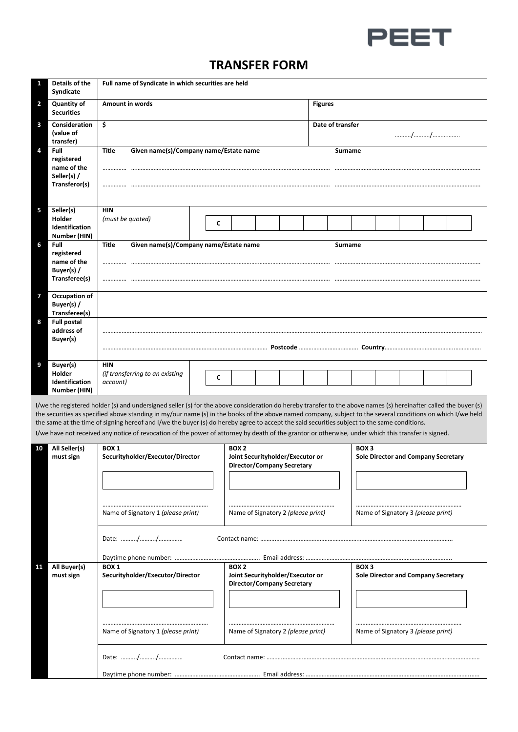

# **TRANSFER FORM**

| 1            | Details of the<br>Syndicate                                                        | Full name of Syndicate in which securities are held                                                                                                                                                                                                                                                                                                                                                                                                                                                                                                                                                                                   |  |                  |                                                                                           |  |  |                |  |                                                         |  |  |  |  |                                            |                                    |  |  |
|--------------|------------------------------------------------------------------------------------|---------------------------------------------------------------------------------------------------------------------------------------------------------------------------------------------------------------------------------------------------------------------------------------------------------------------------------------------------------------------------------------------------------------------------------------------------------------------------------------------------------------------------------------------------------------------------------------------------------------------------------------|--|------------------|-------------------------------------------------------------------------------------------|--|--|----------------|--|---------------------------------------------------------|--|--|--|--|--------------------------------------------|------------------------------------|--|--|
| $\mathbf{2}$ | <b>Quantity of</b><br><b>Securities</b>                                            | Amount in words                                                                                                                                                                                                                                                                                                                                                                                                                                                                                                                                                                                                                       |  |                  | <b>Figures</b>                                                                            |  |  |                |  |                                                         |  |  |  |  |                                            |                                    |  |  |
| 3            | Consideration<br>(value of<br>transfer)                                            | \$                                                                                                                                                                                                                                                                                                                                                                                                                                                                                                                                                                                                                                    |  | Date of transfer |                                                                                           |  |  |                |  |                                                         |  |  |  |  |                                            |                                    |  |  |
| 4            | Full<br>registered<br>name of the<br>Seller(s) /<br>Transferor(s)                  | <b>Title</b><br>Given name(s)/Company name/Estate name                                                                                                                                                                                                                                                                                                                                                                                                                                                                                                                                                                                |  |                  |                                                                                           |  |  | <b>Surname</b> |  |                                                         |  |  |  |  |                                            |                                    |  |  |
| 5            | Seller(s)<br>Holder<br>Identification<br>Number (HIN)                              | <b>HIN</b><br>(must be quoted)                                                                                                                                                                                                                                                                                                                                                                                                                                                                                                                                                                                                        |  | C                |                                                                                           |  |  |                |  |                                                         |  |  |  |  |                                            |                                    |  |  |
| 6            | Full<br>registered<br>name of the<br>Buyer(s) /<br>Transferee(s)                   | <b>Title</b><br>Given name(s)/Company name/Estate name<br>Surname                                                                                                                                                                                                                                                                                                                                                                                                                                                                                                                                                                     |  |                  |                                                                                           |  |  |                |  |                                                         |  |  |  |  |                                            |                                    |  |  |
| 7            | Occupation of<br>Buyer(s) /<br>Transferee(s)                                       |                                                                                                                                                                                                                                                                                                                                                                                                                                                                                                                                                                                                                                       |  |                  |                                                                                           |  |  |                |  |                                                         |  |  |  |  |                                            |                                    |  |  |
| 8            | <b>Full postal</b><br>address of<br>Buyer(s)                                       |                                                                                                                                                                                                                                                                                                                                                                                                                                                                                                                                                                                                                                       |  |                  |                                                                                           |  |  |                |  |                                                         |  |  |  |  |                                            |                                    |  |  |
| 9            | Buyer(s)<br>Holder<br>Identification<br>Number (HIN)                               | <b>HIN</b><br>(if transferring to an existing<br>account)                                                                                                                                                                                                                                                                                                                                                                                                                                                                                                                                                                             |  | C                |                                                                                           |  |  |                |  |                                                         |  |  |  |  |                                            |                                    |  |  |
|              |                                                                                    | I/we the registered holder (s) and undersigned seller (s) for the above consideration do hereby transfer to the above names (s) hereinafter called the buyer (s)<br>the securities as specified above standing in my/our name (s) in the books of the above named company, subject to the several conditions on which I/we held<br>the same at the time of signing hereof and I/we the buyer (s) do hereby agree to accept the said securities subject to the same conditions.<br>I/we have not received any notice of revocation of the power of attorney by death of the grantor or otherwise, under which this transfer is signed. |  |                  |                                                                                           |  |  |                |  |                                                         |  |  |  |  |                                            |                                    |  |  |
| 10           | All Seller(s)<br>BOX <sub>1</sub><br>must sign<br>Securityholder/Executor/Director |                                                                                                                                                                                                                                                                                                                                                                                                                                                                                                                                                                                                                                       |  |                  | BOX <sub>2</sub><br>Joint Securityholder/Executor or<br><b>Director/Company Secretary</b> |  |  |                |  | BOX <sub>3</sub><br>Sole Director and Company Secretary |  |  |  |  |                                            |                                    |  |  |
|              |                                                                                    |                                                                                                                                                                                                                                                                                                                                                                                                                                                                                                                                                                                                                                       |  |                  |                                                                                           |  |  |                |  |                                                         |  |  |  |  |                                            |                                    |  |  |
|              |                                                                                    | Name of Signatory 1 (please print)                                                                                                                                                                                                                                                                                                                                                                                                                                                                                                                                                                                                    |  |                  | Name of Signatory 2 (please print)                                                        |  |  |                |  | Name of Signatory 3 (please print)                      |  |  |  |  |                                            |                                    |  |  |
|              |                                                                                    |                                                                                                                                                                                                                                                                                                                                                                                                                                                                                                                                                                                                                                       |  |                  |                                                                                           |  |  |                |  |                                                         |  |  |  |  |                                            |                                    |  |  |
| 11           | All Buyer(s)<br>must sign                                                          | <b>BOX 1</b><br>Securityholder/Executor/Director                                                                                                                                                                                                                                                                                                                                                                                                                                                                                                                                                                                      |  |                  | BOX <sub>2</sub><br>Joint Securityholder/Executor or<br><b>Director/Company Secretary</b> |  |  |                |  | BOX <sub>3</sub>                                        |  |  |  |  | <b>Sole Director and Company Secretary</b> |                                    |  |  |
|              |                                                                                    | Name of Signatory 1 (please print)                                                                                                                                                                                                                                                                                                                                                                                                                                                                                                                                                                                                    |  |                  | Name of Signatory 2 (please print)                                                        |  |  |                |  |                                                         |  |  |  |  |                                            | Name of Signatory 3 (please print) |  |  |
|              |                                                                                    |                                                                                                                                                                                                                                                                                                                                                                                                                                                                                                                                                                                                                                       |  |                  |                                                                                           |  |  |                |  |                                                         |  |  |  |  |                                            |                                    |  |  |
|              |                                                                                    |                                                                                                                                                                                                                                                                                                                                                                                                                                                                                                                                                                                                                                       |  |                  |                                                                                           |  |  |                |  |                                                         |  |  |  |  |                                            |                                    |  |  |